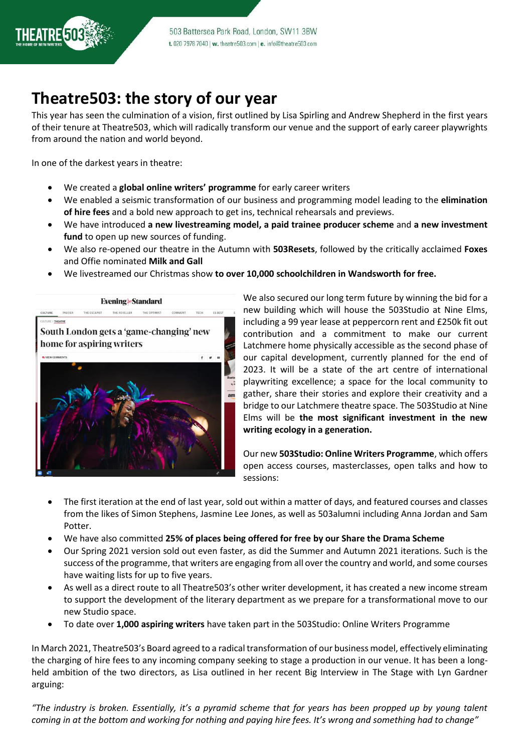

## **Theatre503: the story of our year**

This year has seen the culmination of a vision, first outlined by Lisa Spirling and Andrew Shepherd in the first years of their tenure at Theatre503, which will radically transform our venue and the support of early career playwrights from around the nation and world beyond.

In one of the darkest years in theatre:

- We created a **global online writers' programme** for early career writers
- We enabled a seismic transformation of our business and programming model leading to the **elimination of hire fees** and a bold new approach to get ins, technical rehearsals and previews.
- We have introduced **a new livestreaming model, a paid trainee producer scheme** and **a new investment fund** to open up new sources of funding.
- We also re-opened our theatre in the Autumn with **503Resets**, followed by the critically acclaimed **Foxes** and Offie nominated **Milk and Gall**
- We livestreamed our Christmas show **to over 10,000 schoolchildren in Wandsworth for free.**



We also secured our long term future by winning the bid for a new building which will house the 503Studio at Nine Elms, including a 99 year lease at peppercorn rent and £250k fit out contribution and a commitment to make our current Latchmere home physically accessible as the second phase of our capital development, currently planned for the end of 2023. It will be a state of the art centre of international playwriting excellence; a space for the local community to gather, share their stories and explore their creativity and a bridge to our Latchmere theatre space. The 503Studio at Nine Elms will be **the most significant investment in the new writing ecology in a generation.**

Our new **503Studio: Online Writers Programme**, which offers open access courses, masterclasses, open talks and how to sessions:

- The first iteration at the end of last year, sold out within a matter of days, and featured courses and classes from the likes of Simon Stephens, Jasmine Lee Jones, as well as 503alumni including Anna Jordan and Sam Potter.
- We have also committed **25% of places being offered for free by our Share the Drama Scheme**
- Our Spring 2021 version sold out even faster, as did the Summer and Autumn 2021 iterations. Such is the success of the programme, that writers are engaging from all over the country and world, and some courses have waiting lists for up to five years.
- As well as a direct route to all Theatre503's other writer development, it has created a new income stream to support the development of the literary department as we prepare for a transformational move to our new Studio space.
- To date over **1,000 aspiring writers** have taken part in the 503Studio: Online Writers Programme

In March 2021, Theatre503's Board agreed to a radical transformation of our business model, effectively eliminating the charging of hire fees to any incoming company seeking to stage a production in our venue. It has been a longheld ambition of the two directors, as Lisa outlined in her recent Big Interview in The Stage with Lyn Gardner arguing:

*"The industry is broken. Essentially, it's a pyramid scheme that for years has been propped up by young talent coming in at the bottom and working for nothing and paying hire fees. It's wrong and something had to change"*